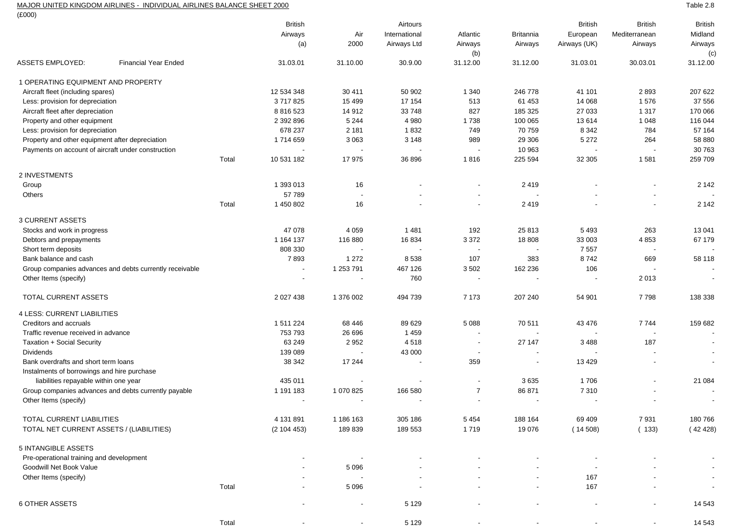## MAJOR UNITED KINGDOM AIRLINES - INDIVIDUAL AIRLINES BALANCE SHEET 2000

 $(FOM)$ 

| (Συυυ)                                                |                                                         |                          |                          |                                    |                          |                          |                |                          |                          |
|-------------------------------------------------------|---------------------------------------------------------|--------------------------|--------------------------|------------------------------------|--------------------------|--------------------------|----------------|--------------------------|--------------------------|
|                                                       |                                                         | <b>British</b>           |                          | Airtours                           |                          |                          | <b>British</b> | <b>British</b>           | <b>British</b>           |
|                                                       |                                                         | Airways                  | Air                      | International                      | Atlantic                 | <b>Britannia</b>         | European       | Mediterranean            | Midland                  |
|                                                       |                                                         | (a)                      | 2000                     | Airways Ltd                        | Airways                  | Airways                  | Airways (UK)   | Airways                  | Airways                  |
|                                                       |                                                         |                          |                          |                                    | (b)                      |                          |                |                          | (c)                      |
| <b>ASSETS EMPLOYED:</b>                               | <b>Financial Year Ended</b>                             | 31.03.01                 | 31.10.00                 | 30.9.00                            | 31.12.00                 | 31.12.00                 | 31.03.01       | 30.03.01                 | 31.12.00                 |
| 1 OPERATING EQUIPMENT AND PROPERTY                    |                                                         |                          |                          |                                    |                          |                          |                |                          |                          |
| Aircraft fleet (including spares)                     |                                                         | 12 534 348               | 30 411                   | 50 902                             | 1 3 4 0                  | 246 778                  | 41 101         | 2893                     | 207 622                  |
| Less: provision for depreciation                      |                                                         | 3717825                  | 15 4 9 9                 | 17 154                             | 513                      | 61 453                   | 14 068         | 1576                     | 37 556                   |
| Aircraft fleet after depreciation                     |                                                         | 8 8 1 6 5 2 3            | 14912                    | 33748                              | 827                      | 185 325                  | 27 033         | 1 3 1 7                  | 170 066                  |
| Property and other equipment                          |                                                         | 2 392 896                | 5 2 4 4                  | 4 9 8 0                            | 1738                     | 100 065                  | 13614          | 1 0 4 8                  | 116 044                  |
| Less: provision for depreciation                      |                                                         | 678 237                  | 2 1 8 1                  | 1832                               | 749                      | 70 759                   | 8 3 4 2        | 784                      | 57 164                   |
| Property and other equipment after depreciation       |                                                         | 1714659                  | 3 0 6 3                  | 3 1 4 8                            | 989                      | 29 30 6                  | 5 2 7 2        | 264                      | 58 880                   |
| Payments on account of aircraft under construction    |                                                         |                          |                          |                                    | $\overline{\phantom{a}}$ | 10 963                   |                |                          | 30 763                   |
|                                                       |                                                         | Total<br>10 531 182      | 17975                    | 36 896                             | 1816                     | 225 594                  | 32 305         | 1581                     | 259 709                  |
| 2 INVESTMENTS                                         |                                                         |                          |                          |                                    |                          |                          |                |                          |                          |
| Group                                                 |                                                         | 1 393 013                | 16                       |                                    | ۰                        | 2419                     |                |                          | 2 1 4 2                  |
| Others                                                |                                                         | 57 789                   | $\blacksquare$           |                                    | ÷,                       |                          |                | $\blacksquare$           |                          |
|                                                       |                                                         | Total<br>1 450 802       | 16                       |                                    | $\overline{\phantom{a}}$ | 2419                     |                | $\overline{\phantom{a}}$ | 2 1 4 2                  |
| <b>3 CURRENT ASSETS</b>                               |                                                         |                          |                          |                                    |                          |                          |                |                          |                          |
| Stocks and work in progress                           |                                                         | 47 078                   | 4 0 5 9                  | 1481                               | 192                      | 25813                    | 5493           | 263                      | 13 041                   |
| Debtors and prepayments                               |                                                         | 1 164 137                | 116 880                  | 16 834                             | 3 3 7 2                  | 18 808                   | 33 003         | 4853                     | 67 179                   |
| Short term deposits                                   |                                                         | 808 330                  | $\overline{\phantom{a}}$ | $\overline{\phantom{a}}$           | $\overline{\phantom{a}}$ | $\overline{\phantom{a}}$ | 7 5 5 7        | $\overline{\phantom{a}}$ |                          |
| Bank balance and cash                                 |                                                         | 7893                     | 1 2 7 2                  | 8538                               | 107                      | 383                      | 8742           | 669                      | 58 118                   |
|                                                       | Group companies advances and debts currently receivable | $\overline{\phantom{a}}$ | 1 253 791                | 467 126                            | 3 5 0 2                  | 162 236                  | 106            |                          |                          |
| Other Items (specify)                                 |                                                         |                          | $\overline{\phantom{a}}$ | 760                                | $\overline{\phantom{a}}$ |                          |                | 2013                     | $\overline{\phantom{a}}$ |
| TOTAL CURRENT ASSETS                                  |                                                         | 2 0 2 7 4 3 8            | 1 376 002                | 494 739                            | 7 1 7 3                  | 207 240                  | 54 901         | 7798                     | 138 338                  |
| <b>4 LESS: CURRENT LIABILITIES</b>                    |                                                         |                          |                          |                                    |                          |                          |                |                          |                          |
| Creditors and accruals                                |                                                         | 1 511 224                | 68 446                   | 89 629                             | 5 0 8 8                  | 70511                    | 43 476         | 7744                     | 159 682                  |
| Traffic revenue received in advance                   |                                                         | 753 793                  | 26 696                   | 1459                               | $\blacksquare$           | $\overline{\phantom{a}}$ |                | $\overline{\phantom{a}}$ | $\overline{\phantom{a}}$ |
|                                                       |                                                         | 63 249                   | 2 9 5 2                  | 4518                               | $\overline{\phantom{a}}$ | 27 147                   | 3488           | 187                      |                          |
| <b>Taxation + Social Security</b><br><b>Dividends</b> |                                                         | 139 089                  |                          |                                    | $\overline{\phantom{a}}$ |                          |                |                          |                          |
| Bank overdrafts and short term loans                  |                                                         | 38 342                   | 17 244                   | 43 000<br>$\overline{\phantom{a}}$ | 359                      | $\overline{\phantom{a}}$ | 13 4 29        | $\blacksquare$           | $\sim$                   |
| Instalments of borrowings and hire purchase           |                                                         |                          |                          |                                    |                          |                          |                |                          |                          |
| liabilities repayable within one year                 |                                                         | 435 011                  | $\overline{\phantom{a}}$ | $\overline{\phantom{a}}$           | $\overline{\phantom{a}}$ | 3635                     | 1706           | $\blacksquare$           | 21 084                   |
|                                                       | Group companies advances and debts currently payable    | 1 191 183                | 1 070 825                | 166 580                            | $\overline{7}$           | 86 871                   | 7310           |                          |                          |
| Other Items (specify)                                 |                                                         |                          |                          |                                    |                          |                          |                |                          |                          |
|                                                       |                                                         |                          |                          |                                    |                          |                          |                |                          |                          |
| TOTAL CURRENT LIABILITIES                             |                                                         | 4 131 891                | 1 186 163                | 305 186                            | 5 4 5 4                  | 188 164                  | 69 409         | 7931                     | 180766                   |
| TOTAL NET CURRENT ASSETS / (LIABILITIES)              |                                                         | (2104453)                | 189839                   | 189 553                            | 1719                     | 19 076                   | (14508)        | (133)                    | (42428)                  |
| 5 INTANGIBLE ASSETS                                   |                                                         |                          |                          |                                    |                          |                          |                |                          |                          |
| Pre-operational training and development              |                                                         |                          |                          |                                    |                          |                          |                |                          |                          |
| Goodwill Net Book Value                               |                                                         |                          | 5 0 9 6                  |                                    |                          |                          |                |                          |                          |
| Other Items (specify)                                 |                                                         |                          |                          |                                    |                          |                          | 167            |                          |                          |
|                                                       |                                                         | Total                    | 5 0 9 6                  |                                    |                          |                          | 167            |                          |                          |
| <b>6 OTHER ASSETS</b>                                 |                                                         |                          |                          |                                    |                          |                          |                |                          |                          |
|                                                       |                                                         |                          | $\overline{\phantom{a}}$ | 5 1 2 9                            |                          |                          |                | $\overline{\phantom{a}}$ | 14 5 43                  |
|                                                       |                                                         | Total                    |                          | 5 1 2 9                            |                          |                          |                |                          | 14 543                   |

Table 2.8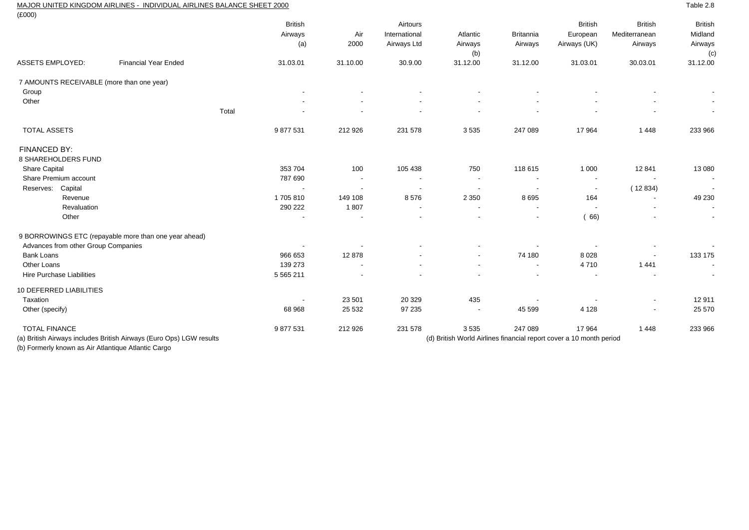## MAJOR UNITED KINGDOM AIRLINES - INDIVIDUAL AIRLINES BALANCE SHEET 2000

| $(\text{\pounds}000)$                     |                                                                     |                                  |                          |                                          |                            |                             |                                                                     |                                            |                                             |
|-------------------------------------------|---------------------------------------------------------------------|----------------------------------|--------------------------|------------------------------------------|----------------------------|-----------------------------|---------------------------------------------------------------------|--------------------------------------------|---------------------------------------------|
|                                           |                                                                     | <b>British</b><br>Airways<br>(a) | Air<br>2000              | Airtours<br>International<br>Airways Ltd | Atlantic<br>Airways<br>(b) | <b>Britannia</b><br>Airways | <b>British</b><br>European<br>Airways (UK)                          | <b>British</b><br>Mediterranean<br>Airways | <b>British</b><br>Midland<br>Airways<br>(c) |
| <b>ASSETS EMPLOYED:</b>                   | <b>Financial Year Ended</b>                                         | 31.03.01                         | 31.10.00                 | 30.9.00                                  | 31.12.00                   | 31.12.00                    | 31.03.01                                                            | 30.03.01                                   | 31.12.00                                    |
| 7 AMOUNTS RECEIVABLE (more than one year) |                                                                     |                                  |                          |                                          |                            |                             |                                                                     |                                            |                                             |
| Group                                     |                                                                     |                                  |                          |                                          |                            |                             |                                                                     |                                            |                                             |
| Other                                     |                                                                     |                                  |                          |                                          |                            |                             |                                                                     |                                            |                                             |
|                                           |                                                                     | Total                            |                          |                                          |                            |                             |                                                                     |                                            | $\overline{\phantom{a}}$                    |
| <b>TOTAL ASSETS</b>                       |                                                                     | 9877531                          | 212 926                  | 231 578                                  | 3535                       | 247 089                     | 17 964                                                              | 1448                                       | 233 966                                     |
| <b>FINANCED BY:</b>                       |                                                                     |                                  |                          |                                          |                            |                             |                                                                     |                                            |                                             |
| 8 SHAREHOLDERS FUND                       |                                                                     |                                  |                          |                                          |                            |                             |                                                                     |                                            |                                             |
| Share Capital                             |                                                                     | 353 704                          | 100                      | 105 438                                  | 750                        | 118 615                     | 1 0 0 0                                                             | 12 841                                     | 13 080                                      |
| Share Premium account                     |                                                                     | 787 690                          | $\overline{\phantom{a}}$ | $\overline{\phantom{a}}$                 | $\overline{\phantom{a}}$   | $\overline{\phantom{a}}$    | $\overline{\phantom{a}}$                                            |                                            | $\sim$                                      |
| Capital<br>Reserves:                      |                                                                     | $\overline{\phantom{a}}$         |                          |                                          | $\overline{\phantom{a}}$   | $\overline{\phantom{a}}$    | $\overline{\phantom{a}}$                                            | (12834)                                    | $\overline{\phantom{a}}$                    |
| Revenue                                   |                                                                     | 1705810                          | 149 108                  | 8576                                     | 2 3 5 0                    | 8695                        | 164                                                                 | $\overline{\phantom{a}}$                   | 49 230                                      |
| Revaluation                               |                                                                     | 290 222                          | 1807                     | $\overline{\phantom{a}}$                 | $\overline{\phantom{a}}$   | $\overline{\phantom{a}}$    | $\overline{\phantom{a}}$                                            | $\overline{\phantom{a}}$                   | $\sim$                                      |
| Other                                     |                                                                     |                                  |                          |                                          |                            |                             | (66)                                                                |                                            | $\overline{\phantom{a}}$                    |
|                                           | 9 BORROWINGS ETC (repayable more than one year ahead)               |                                  |                          |                                          |                            |                             |                                                                     |                                            |                                             |
| Advances from other Group Companies       |                                                                     |                                  |                          |                                          |                            |                             |                                                                     |                                            | $\sim$                                      |
| <b>Bank Loans</b>                         |                                                                     | 966 653                          | 12878                    |                                          | $\overline{\phantom{a}}$   | 74 180                      | 8028                                                                | $\overline{\phantom{a}}$                   | 133 175                                     |
| Other Loans                               |                                                                     | 139 273                          | $\blacksquare$           |                                          | $\overline{\phantom{a}}$   | $\overline{\phantom{a}}$    | 4710                                                                | 1 4 4 1                                    | $\sim$                                      |
| <b>Hire Purchase Liabilities</b>          |                                                                     | 5 5 6 5 2 1 1                    |                          |                                          |                            |                             | $\blacksquare$                                                      |                                            | $\overline{\phantom{a}}$                    |
| 10 DEFERRED LIABILITIES                   |                                                                     |                                  |                          |                                          |                            |                             |                                                                     |                                            |                                             |
| Taxation                                  |                                                                     | $\overline{\phantom{a}}$         | 23 501                   | 20 329                                   | 435                        |                             |                                                                     | $\overline{\phantom{a}}$                   | 12911                                       |
| Other (specify)                           |                                                                     | 68 968                           | 25 5 32                  | 97 235                                   | $\overline{\phantom{a}}$   | 45 599                      | 4 1 2 8                                                             |                                            | 25 570                                      |
| <b>TOTAL FINANCE</b>                      |                                                                     | 9877531                          | 212 926                  | 231 578                                  | 3535                       | 247 089                     | 17 964                                                              | 1448                                       | 233 966                                     |
|                                           | (a) British Airways includes British Airways (Euro Ops) LGW results |                                  |                          |                                          |                            |                             | (d) British World Airlines financial report cover a 10 month period |                                            |                                             |

(b) Formerly known as Air Atlantique Atlantic Cargo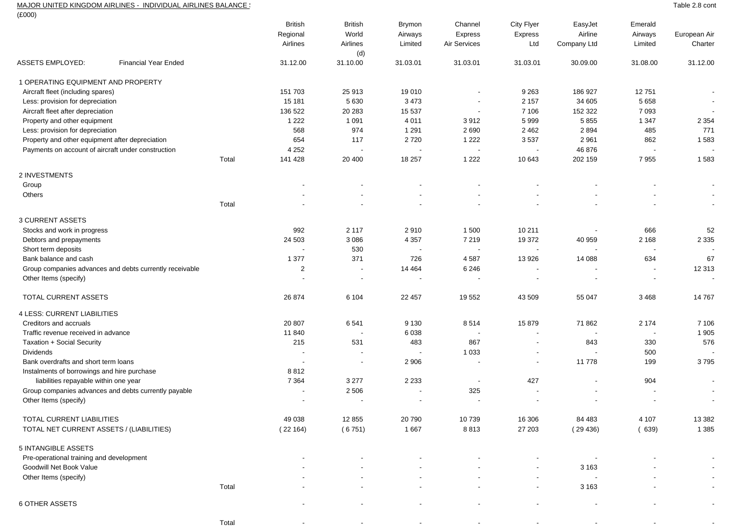# MAJOR UNITED KINGDOM AIRLINES - INDIVIDUAL AIRLINES BALANCE :<br>(£000)

| (LUUU)                                             |                                                         |       |                          |                          |                          |                          |                          |                          |                          |                          |
|----------------------------------------------------|---------------------------------------------------------|-------|--------------------------|--------------------------|--------------------------|--------------------------|--------------------------|--------------------------|--------------------------|--------------------------|
|                                                    |                                                         |       | <b>British</b>           | <b>British</b>           | <b>Brymon</b>            | Channel                  | City Flyer               | EasyJet                  | Emerald                  |                          |
|                                                    |                                                         |       | Regional                 | World                    | Airways                  | Express                  | <b>Express</b>           | Airline                  | Airways                  | European Air             |
|                                                    |                                                         |       | Airlines                 | Airlines                 | Limited                  | Air Services             | Ltd                      | Company Ltd              | Limited                  | Charter                  |
|                                                    |                                                         |       |                          | (d)                      |                          |                          |                          |                          |                          |                          |
| <b>ASSETS EMPLOYED:</b>                            | <b>Financial Year Ended</b>                             |       | 31.12.00                 | 31.10.00                 | 31.03.01                 | 31.03.01                 | 31.03.01                 | 30.09.00                 | 31.08.00                 | 31.12.00                 |
| 1 OPERATING EQUIPMENT AND PROPERTY                 |                                                         |       |                          |                          |                          |                          |                          |                          |                          |                          |
| Aircraft fleet (including spares)                  |                                                         |       | 151 703                  | 25913                    | 19 010                   | $\blacksquare$           | 9 2 6 3                  | 186 927                  | 12751                    | $\overline{\phantom{a}}$ |
| Less: provision for depreciation                   |                                                         |       | 15 181                   | 5 6 3 0                  | 3 4 7 3                  | $\overline{\phantom{a}}$ | 2 1 5 7                  | 34 605                   | 5 6 5 8                  | $\overline{\phantom{a}}$ |
| Aircraft fleet after depreciation                  |                                                         |       | 136 522                  | 20 28 3                  | 15 537                   | $\overline{\phantom{a}}$ | 7 10 6                   | 152 322                  | 7 0 9 3                  |                          |
| Property and other equipment                       |                                                         |       | 1 2 2 2                  | 1 0 9 1                  | 4 0 1 1                  | 3912                     | 5999                     | 5855                     | 1 3 4 7                  | 2 3 5 4                  |
| Less: provision for depreciation                   |                                                         |       | 568                      | 974                      | 1 2 9 1                  | 2690                     | 2 4 6 2                  | 2894                     | 485                      | 771                      |
| Property and other equipment after depreciation    |                                                         |       | 654                      | 117                      | 2720                     | 1 2 2 2                  | 3537                     | 2 9 6 1                  | 862                      | 1583                     |
| Payments on account of aircraft under construction |                                                         |       | 4 2 5 2                  | $\overline{\phantom{a}}$ |                          | $\overline{\phantom{a}}$ |                          | 46 876                   |                          |                          |
|                                                    |                                                         | Total | 141 428                  | 20 400                   | 18 257                   | 1 2 2 2                  | 10 643                   | 202 159                  | 7955                     | 1583                     |
| 2 INVESTMENTS                                      |                                                         |       |                          |                          |                          |                          |                          |                          |                          |                          |
| Group                                              |                                                         |       |                          |                          |                          |                          |                          |                          |                          |                          |
| Others                                             |                                                         |       |                          |                          |                          |                          |                          |                          |                          |                          |
|                                                    |                                                         | Total |                          |                          |                          |                          |                          |                          |                          | $\blacksquare$           |
| <b>3 CURRENT ASSETS</b>                            |                                                         |       |                          |                          |                          |                          |                          |                          |                          |                          |
| Stocks and work in progress                        |                                                         |       | 992                      | 2 1 1 7                  | 2910                     | 1 500                    | 10 211                   |                          | 666                      | 52                       |
| Debtors and prepayments                            |                                                         |       | 24 503                   | 3 0 8 6                  | 4 3 5 7                  | 7 2 1 9                  | 19 372                   | 40 959                   | 2 1 6 8                  | 2 3 3 5                  |
| Short term deposits                                |                                                         |       | $\overline{\phantom{a}}$ | 530                      | $\overline{\phantom{a}}$ | $\overline{\phantom{a}}$ | $\overline{\phantom{a}}$ | $\overline{\phantom{a}}$ | $\overline{\phantom{a}}$ |                          |
| Bank balance and cash                              |                                                         |       | 1 3 7 7                  | 371                      | 726                      | 4587                     | 13 926                   | 14 088                   | 634                      | 67                       |
|                                                    | Group companies advances and debts currently receivable |       | $\overline{2}$           | $\overline{\phantom{a}}$ | 14 4 64                  | 6 2 4 6                  |                          |                          | $\overline{\phantom{a}}$ | 12 313                   |
| Other Items (specify)                              |                                                         |       | $\blacksquare$           | $\overline{\phantom{a}}$ | $\overline{\phantom{a}}$ | $\overline{\phantom{a}}$ | $\overline{\phantom{a}}$ | $\overline{\phantom{a}}$ | $\overline{\phantom{a}}$ |                          |
| TOTAL CURRENT ASSETS                               |                                                         |       | 26 874                   | 6 104                    | 22 457                   | 19 552                   | 43 509                   | 55 047                   | 3 4 6 8                  | 14 7 6 7                 |
| 4 LESS: CURRENT LIABILITIES                        |                                                         |       |                          |                          |                          |                          |                          |                          |                          |                          |
| Creditors and accruals                             |                                                         |       | 20 807                   | 6541                     | 9 1 3 0                  | 8514                     | 15 879                   | 71 862                   | 2 1 7 4                  | 7 10 6                   |
| Traffic revenue received in advance                |                                                         |       | 11 840                   | ÷,                       | 6038                     | $\blacksquare$           |                          |                          | $\overline{\phantom{a}}$ | 1 9 0 5                  |
| Taxation + Social Security                         |                                                         |       | 215                      | 531                      | 483                      | 867                      | $\blacksquare$           | 843                      | 330                      | 576                      |
| <b>Dividends</b>                                   |                                                         |       |                          |                          |                          | 1 0 3 3                  |                          |                          | 500                      |                          |
| Bank overdrafts and short term loans               |                                                         |       | $\overline{\phantom{a}}$ | $\blacksquare$           | 2 9 0 6                  | ÷,                       | $\blacksquare$           | 11 778                   | 199                      | 3795                     |
| Instalments of borrowings and hire purchase        |                                                         |       | 8812                     |                          |                          |                          |                          |                          |                          |                          |
| liabilities repayable within one year              |                                                         |       | 7 3 6 4                  | 3 2 7 7                  | 2 2 3 3                  | $\blacksquare$           | 427                      |                          | 904                      | $\blacksquare$           |
|                                                    | Group companies advances and debts currently payable    |       | $\overline{\phantom{a}}$ | 2 5 0 6                  | $\overline{\phantom{a}}$ | 325                      |                          |                          |                          |                          |
| Other Items (specify)                              |                                                         |       |                          |                          |                          |                          |                          |                          |                          |                          |
| TOTAL CURRENT LIABILITIES                          |                                                         |       | 49 038                   | 12 8 55                  | 20 790                   | 10739                    | 16 30 6                  | 84 483                   | 4 107                    | 13 3 8 2                 |
| TOTAL NET CURRENT ASSETS / (LIABILITIES)           |                                                         |       | (22164)                  | (6751)                   | 1 6 6 7                  | 8813                     | 27 203                   | (29436)                  | (639)                    | 1 3 8 5                  |
| 5 INTANGIBLE ASSETS                                |                                                         |       |                          |                          |                          |                          |                          |                          |                          |                          |
| Pre-operational training and development           |                                                         |       |                          |                          |                          |                          |                          |                          |                          |                          |
| Goodwill Net Book Value                            |                                                         |       |                          |                          |                          |                          |                          | 3 1 6 3                  |                          |                          |
| Other Items (specify)                              |                                                         |       |                          |                          |                          |                          |                          |                          |                          |                          |
|                                                    |                                                         | Total |                          |                          |                          |                          |                          | 3 1 6 3                  |                          |                          |
| <b>6 OTHER ASSETS</b>                              |                                                         |       |                          |                          | $\overline{\phantom{a}}$ |                          |                          |                          |                          | $\overline{\phantom{a}}$ |
|                                                    |                                                         |       |                          |                          |                          |                          |                          |                          |                          |                          |

- - - - - - - -

Table 2.8 cont

Total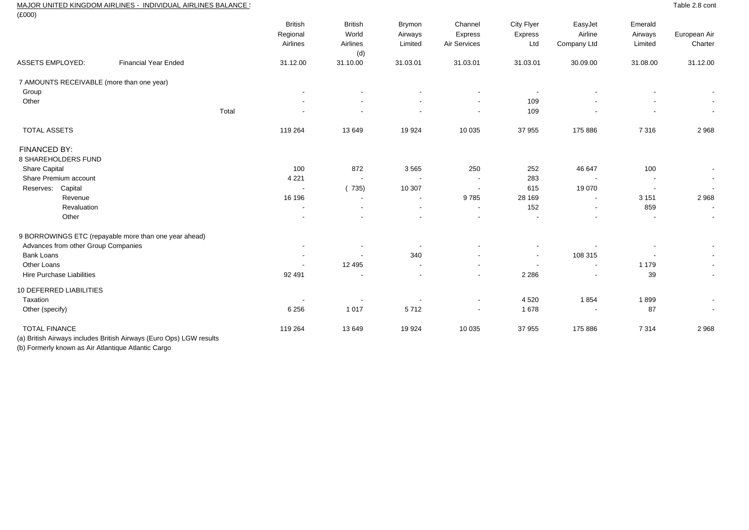### MAJOR UNITED KINGDOM AIRLINES - INDIVIDUAL AIRLINES BALANCE S

| (E000)                                                              |                             |                                        |                                            |                                     |                                    |                              |                                   |                               |                          |
|---------------------------------------------------------------------|-----------------------------|----------------------------------------|--------------------------------------------|-------------------------------------|------------------------------------|------------------------------|-----------------------------------|-------------------------------|--------------------------|
|                                                                     |                             | <b>British</b><br>Regional<br>Airlines | <b>British</b><br>World<br>Airlines<br>(d) | <b>Brymon</b><br>Airways<br>Limited | Channel<br>Express<br>Air Services | City Flyer<br>Express<br>Ltd | EasyJet<br>Airline<br>Company Ltd | Emerald<br>Airways<br>Limited | European Air<br>Charter  |
| <b>ASSETS EMPLOYED:</b>                                             | <b>Financial Year Ended</b> | 31.12.00                               | 31.10.00                                   | 31.03.01                            | 31.03.01                           | 31.03.01                     | 30.09.00                          | 31.08.00                      | 31.12.00                 |
| 7 AMOUNTS RECEIVABLE (more than one year)                           |                             |                                        |                                            |                                     |                                    |                              |                                   |                               |                          |
| Group                                                               |                             |                                        |                                            |                                     |                                    | $\overline{\phantom{a}}$     |                                   |                               |                          |
| Other                                                               |                             |                                        |                                            |                                     | $\overline{\phantom{a}}$           | 109                          |                                   |                               |                          |
|                                                                     | Total                       |                                        |                                            |                                     | $\overline{\phantom{a}}$           | 109                          |                                   |                               | $\sim$                   |
| <b>TOTAL ASSETS</b>                                                 |                             | 119 264                                | 13 649                                     | 19 9 24                             | 10 0 35                            | 37 955                       | 175 886                           | 7316                          | 2968                     |
| FINANCED BY:                                                        |                             |                                        |                                            |                                     |                                    |                              |                                   |                               |                          |
| 8 SHAREHOLDERS FUND                                                 |                             |                                        |                                            |                                     |                                    |                              |                                   |                               |                          |
| <b>Share Capital</b>                                                |                             | 100                                    | 872                                        | 3565                                | 250                                | 252                          | 46 647                            | 100                           | $\overline{\phantom{a}}$ |
| Share Premium account                                               |                             | 4 2 2 1                                | $\overline{\phantom{a}}$                   | $\blacksquare$                      | $\overline{\phantom{a}}$           | 283                          |                                   | $\overline{\phantom{a}}$      | $\sim$                   |
| Capital<br>Reserves:                                                |                             |                                        | (735)                                      | 10 307                              | $\overline{\phantom{a}}$           | 615                          | 19 070                            |                               | $\sim$                   |
| Revenue                                                             |                             | 16 196                                 |                                            |                                     | 9785                               | 28 169                       |                                   | 3 1 5 1                       | 2968                     |
| Revaluation                                                         |                             | $\overline{\phantom{a}}$               | $\overline{\phantom{a}}$                   | $\overline{\phantom{a}}$            | $\overline{\phantom{a}}$           | 152                          | $\overline{\phantom{a}}$          | 859                           | $\sim$                   |
| Other                                                               |                             |                                        |                                            |                                     |                                    |                              |                                   |                               | $\overline{\phantom{a}}$ |
| 9 BORROWINGS ETC (repayable more than one year ahead)               |                             |                                        |                                            |                                     |                                    |                              |                                   |                               |                          |
| Advances from other Group Companies                                 |                             |                                        |                                            |                                     |                                    |                              |                                   |                               |                          |
| <b>Bank Loans</b>                                                   |                             | $\overline{\phantom{a}}$               |                                            | 340                                 |                                    | $\overline{\phantom{a}}$     | 108 315                           |                               |                          |
| Other Loans                                                         |                             |                                        | 12 4 9 5                                   |                                     | $\overline{\phantom{a}}$           | $\overline{\phantom{a}}$     | $\overline{\phantom{a}}$          | 1 1 7 9                       | $\sim$                   |
| Hire Purchase Liabilities                                           |                             | 92 491                                 |                                            |                                     | $\blacksquare$                     | 2 2 8 6                      |                                   | 39                            | $\sim$                   |
| 10 DEFERRED LIABILITIES                                             |                             |                                        |                                            |                                     |                                    |                              |                                   |                               |                          |
| Taxation                                                            |                             |                                        |                                            |                                     | $\overline{\phantom{a}}$           | 4 5 20                       | 1854                              | 1899                          | $\sim$                   |
| Other (specify)                                                     |                             | 6 2 5 6                                | 1 0 1 7                                    | 5712                                | $\overline{\phantom{a}}$           | 1678                         |                                   | 87                            | $\sim$                   |
| <b>TOTAL FINANCE</b>                                                |                             | 119 264                                | 13649                                      | 19 9 24                             | 10 0 35                            | 37 955                       | 175 886                           | 7 3 1 4                       | 2968                     |
| (a) British Airways includes British Airways (Euro Ops) LGW results |                             |                                        |                                            |                                     |                                    |                              |                                   |                               |                          |

(b) Formerly known as Air Atlantique Atlantic Cargo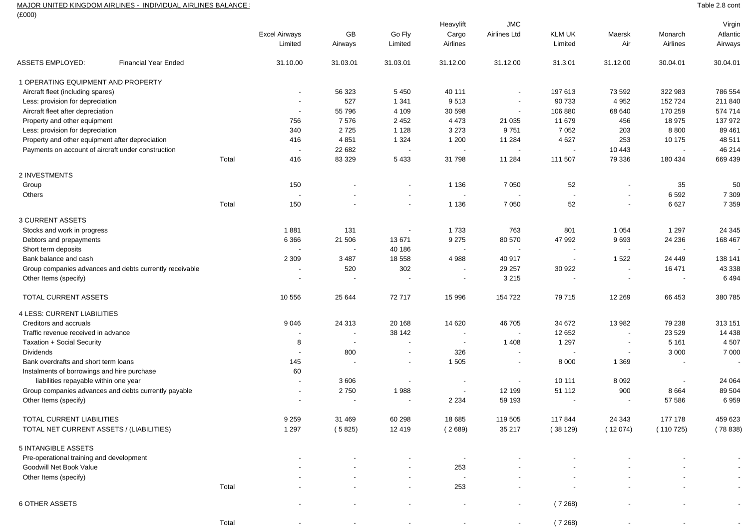#### MAJOR UNITED KINGDOM AIRLINES - INDIVIDUAL AIRLINES BALANCE S

Total

(£000)

|                                                         |                             |       |                          |                          |                          | Heavylift                | <b>JMC</b>               |                          |                          |          | Virgin                   |
|---------------------------------------------------------|-----------------------------|-------|--------------------------|--------------------------|--------------------------|--------------------------|--------------------------|--------------------------|--------------------------|----------|--------------------------|
|                                                         |                             |       | <b>Excel Airways</b>     | GB                       | Go Fly                   | Cargo                    | Airlines Ltd             | <b>KLM UK</b>            | Maersk                   | Monarch  | Atlantic                 |
|                                                         |                             |       | Limited                  | Airways                  | Limited                  | Airlines                 |                          | Limited                  | Air                      | Airlines | Airways                  |
| ASSETS EMPLOYED:                                        | <b>Financial Year Ended</b> |       | 31.10.00                 | 31.03.01                 | 31.03.01                 | 31.12.00                 | 31.12.00                 | 31.3.01                  | 31.12.00                 | 30.04.01 | 30.04.01                 |
| 1 OPERATING EQUIPMENT AND PROPERTY                      |                             |       |                          |                          |                          |                          |                          |                          |                          |          |                          |
| Aircraft fleet (including spares)                       |                             |       |                          | 56 323                   | 5450                     | 40 111                   |                          | 197 613                  | 73 592                   | 322 983  | 786 554                  |
| Less: provision for depreciation                        |                             |       | $\overline{\phantom{a}}$ | 527                      | 1 3 4 1                  | 9513                     | $\overline{\phantom{a}}$ | 90 733                   | 4 9 5 2                  | 152 724  | 211 840                  |
| Aircraft fleet after depreciation                       |                             |       | $\overline{\phantom{a}}$ | 55 796                   | 4 1 0 9                  | 30 598                   |                          | 106 880                  | 68 640                   | 170 259  | 574 714                  |
| Property and other equipment                            |                             |       | 756                      | 7576                     | 2 4 5 2                  | 4 4 7 3                  | 21 0 35                  | 11 679                   | 456                      | 18 975   | 137 972                  |
| Less: provision for depreciation                        |                             |       | 340                      | 2725                     | 1 1 2 8                  | 3 2 7 3                  | 9751                     | 7 0 5 2                  | 203                      | 8800     | 89 461                   |
| Property and other equipment after depreciation         |                             |       | 416                      | 4 8 5 1                  | 1 3 2 4                  | 1 200                    | 11 284                   | 4 6 27                   | 253                      | 10 175   | 48 511                   |
| Payments on account of aircraft under construction      |                             |       | $\overline{\phantom{a}}$ | 22 682                   |                          |                          |                          |                          | 10 443                   |          | 46 214                   |
|                                                         |                             | Total | 416                      | 83 329                   | 5433                     | 31 798                   | 11 284                   | 111 507                  | 79 336                   | 180 434  | 669 439                  |
| 2 INVESTMENTS                                           |                             |       |                          |                          |                          |                          |                          |                          |                          |          |                          |
| Group                                                   |                             |       | 150                      |                          | $\overline{\phantom{a}}$ | 1 1 3 6                  | 7 0 5 0                  | 52                       |                          | 35       | 50                       |
| Others                                                  |                             |       |                          |                          |                          |                          |                          |                          | $\overline{\phantom{a}}$ | 6 5 9 2  | 7 3 0 9                  |
|                                                         |                             | Total | 150                      |                          |                          | 1 1 3 6                  | 7 0 5 0                  | 52                       | $\overline{\phantom{a}}$ | 6627     | 7 3 5 9                  |
| <b>3 CURRENT ASSETS</b>                                 |                             |       |                          |                          |                          |                          |                          |                          |                          |          |                          |
| Stocks and work in progress                             |                             |       | 1881                     | 131                      | $\overline{\phantom{a}}$ | 1733                     | 763                      | 801                      | 1 0 5 4                  | 1 2 9 7  | 24 3 45                  |
| Debtors and prepayments                                 |                             |       | 6 3 6 6                  | 21 506                   | 13 671                   | 9 2 7 5                  | 80 570                   | 47 992                   | 9693                     | 24 236   | 168 467                  |
| Short term deposits                                     |                             |       |                          |                          | 40 186                   |                          |                          |                          |                          |          |                          |
| Bank balance and cash                                   |                             |       | 2 3 0 9                  | 3 4 8 7                  | 18 558                   | 4988                     | 40 917                   | $\overline{\phantom{a}}$ | 1522                     | 24 449   | 138 141                  |
| Group companies advances and debts currently receivable |                             |       | $\overline{\phantom{a}}$ | 520                      | 302                      |                          | 29 257                   | 30 922                   | $\overline{\phantom{a}}$ | 16 471   | 43 338                   |
| Other Items (specify)                                   |                             |       |                          | $\overline{\phantom{a}}$ | $\overline{\phantom{a}}$ |                          | 3 2 1 5                  | $\overline{\phantom{a}}$ | $\overline{\phantom{a}}$ |          | 6494                     |
| TOTAL CURRENT ASSETS                                    |                             |       | 10 556                   | 25 644                   | 72717                    | 15 996                   | 154 722                  | 79 715                   | 12 2 6 9                 | 66 453   | 380 785                  |
| 4 LESS: CURRENT LIABILITIES                             |                             |       |                          |                          |                          |                          |                          |                          |                          |          |                          |
| Creditors and accruals                                  |                             |       | 9 0 4 6                  | 24 313                   | 20 168                   | 14 6 20                  | 46 705                   | 34 672                   | 13 982                   | 79 238   | 313 151                  |
| Traffic revenue received in advance                     |                             |       |                          | $\blacksquare$           | 38 142                   |                          |                          | 12 652                   | $\overline{\phantom{a}}$ | 23 5 29  | 14 4 38                  |
| Taxation + Social Security                              |                             |       | 8                        | $\blacksquare$           |                          |                          | 1 4 0 8                  | 1 2 9 7                  | $\overline{\phantom{a}}$ | 5 1 6 1  | 4 5 0 7                  |
| <b>Dividends</b>                                        |                             |       | $\overline{\phantom{a}}$ | 800                      | $\overline{\phantom{a}}$ | 326                      |                          | $\overline{\phantom{a}}$ | $\overline{\phantom{a}}$ | 3 0 0 0  | 7 0 0 0                  |
| Bank overdrafts and short term loans                    |                             |       | 145                      |                          | $\overline{\phantom{a}}$ | 1 505                    |                          | 8 0 0 0                  | 1 3 6 9                  |          |                          |
| Instalments of borrowings and hire purchase             |                             |       | 60                       |                          |                          |                          |                          |                          |                          |          |                          |
| liabilities repayable within one year                   |                             |       | $\blacksquare$           | 3606                     |                          |                          | $\overline{\phantom{a}}$ | 10 111                   | 8 0 9 2                  |          | 24 064                   |
| Group companies advances and debts currently payable    |                             |       | $\overline{\phantom{a}}$ | 2750                     | 1988                     | $\overline{\phantom{a}}$ | 12 199                   | 51 112                   | 900                      | 8 6 6 4  | 89 504                   |
| Other Items (specify)                                   |                             |       |                          |                          |                          | 2 2 3 4                  | 59 193                   |                          |                          | 57 586   | 6959                     |
| TOTAL CURRENT LIABILITIES                               |                             |       | 9 2 5 9                  | 31 469                   | 60 298                   | 18 685                   | 119 505                  | 117 844                  | 24 34 3                  | 177 178  | 459 623                  |
| TOTAL NET CURRENT ASSETS / (LIABILITIES)                |                             |       | 1 2 9 7                  | (5825)                   | 12 4 19                  | (2689)                   | 35 217                   | (38129)                  | (12074)                  | (110725) | (78838)                  |
| 5 INTANGIBLE ASSETS                                     |                             |       |                          |                          |                          |                          |                          |                          |                          |          |                          |
| Pre-operational training and development                |                             |       |                          |                          |                          |                          |                          |                          |                          |          | $\overline{\phantom{a}}$ |
| Goodwill Net Book Value                                 |                             |       |                          |                          |                          | 253                      |                          |                          |                          |          |                          |
| Other Items (specify)                                   |                             |       |                          |                          |                          |                          |                          |                          |                          |          |                          |
|                                                         |                             | Total |                          |                          |                          | 253                      |                          |                          |                          |          |                          |
| <b>6 OTHER ASSETS</b>                                   |                             |       |                          |                          |                          |                          | $\overline{\phantom{a}}$ | (7268)                   |                          |          | $\overline{\phantom{a}}$ |
|                                                         |                             |       |                          |                          |                          |                          |                          |                          |                          |          |                          |

- - - - - ( 7 268) - - -

Table 2.8 cont